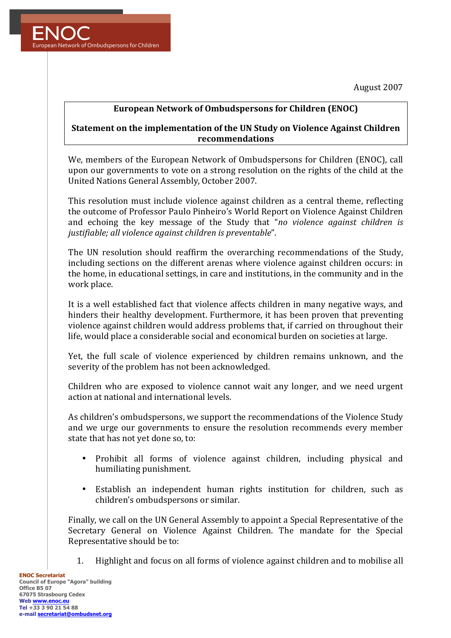August 2007



## **European Network of Ombudspersons for Children (ENOC)**

## **Statement on the implementation of the UN Study on Violence Against Children recommendations**

We, members of the European Network of Ombudspersons for Children (ENOC), call upon our governments to vote on a strong resolution on the rights of the child at the United Nations General Assembly, October 2007.

This resolution must include violence against children as a central theme, reflecting the outcome of Professor Paulo Pinheiro's World Report on Violence Against Children and echoing the key message of the Study that "*no violence against children is* justifiable; all violence against children is preventable".

The UN resolution should reaffirm the overarching recommendations of the Study, including sections on the different arenas where violence against children occurs: in the home, in educational settings, in care and institutions, in the community and in the work place.

It is a well established fact that violence affects children in many negative ways, and hinders their healthy development. Furthermore, it has been proven that preventing violence against children would address problems that, if carried on throughout their life, would place a considerable social and economical burden on societies at large.

Yet, the full scale of violence experienced by children remains unknown, and the severity of the problem has not been acknowledged.

Children who are exposed to violence cannot wait any longer, and we need urgent action at national and international levels.

As children's ombudspersons, we support the recommendations of the Violence Study and we urge our governments to ensure the resolution recommends every member state that has not yet done so, to:

- Prohibit all forms of violence against children, including physical and humiliating punishment.
- Establish an independent human rights institution for children, such as children's ombudspersons or similar.

Finally, we call on the UN General Assembly to appoint a Special Representative of the Secretary General on Violence Against Children. The mandate for the Special Representative should be to:

1. Highlight and focus on all forms of violence against children and to mobilise all